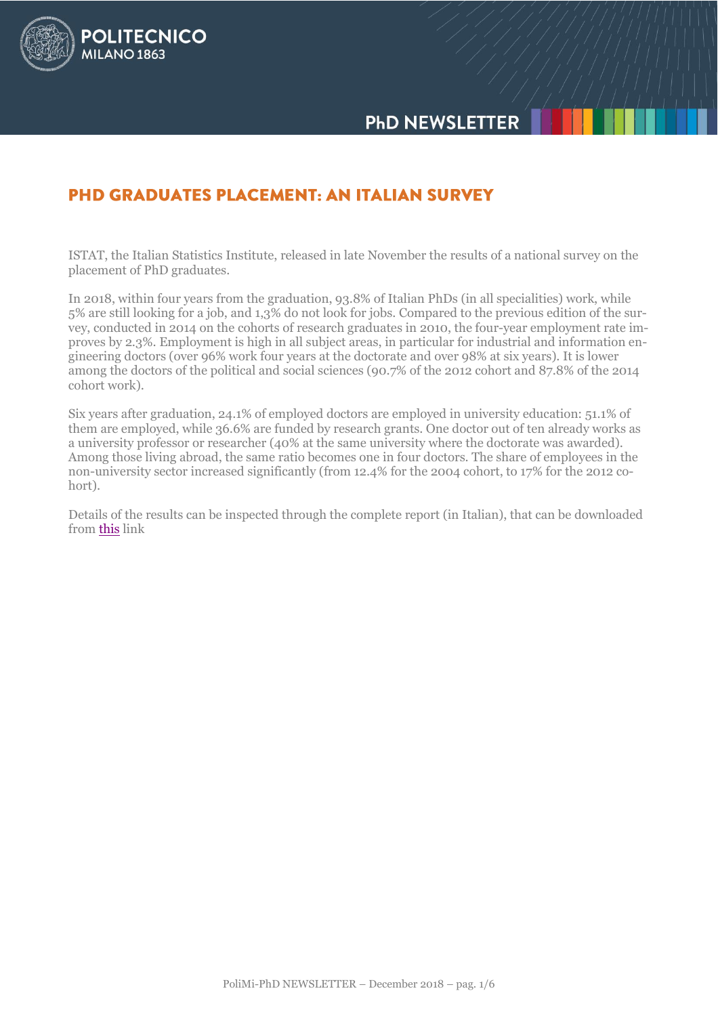

# **PHD GRADUATES PLACEMENT: AN ITALIAN SURVEY**

**POLITECNICO** 

**MILANO 1863** 

ISTAT, the Italian Statistics Institute, released in late November the results of a national survey on the placement of PhD graduates.

In 2018, within four years from the graduation, 93.8% of Italian PhDs (in all specialities) work, while 5% are still looking for a job, and 1,3% do not look for jobs. Compared to the previous edition of the survey, conducted in 2014 on the cohorts of research graduates in 2010, the four-year employment rate improves by 2.3%. Employment is high in all subject areas, in particular for industrial and information engineering doctors (over 96% work four years at the doctorate and over 98% at six years). It is lower among the doctors of the political and social sciences (90.7% of the 2012 cohort and 87.8% of the 2014 cohort work).

Six years after graduation, 24.1% of employed doctors are employed in university education: 51.1% of them are employed, while 36.6% are funded by research grants. One doctor out of ten already works as a university professor or researcher (40% at the same university where the doctorate was awarded). Among those living abroad, the same ratio becomes one in four doctors. The share of employees in the non-university sector increased significantly (from 12.4% for the 2004 cohort, to 17% for the 2012 cohort).

Details of the results can be inspected through the complete report (in Italian), that can be downloaded from [this](https://www.istat.it/it/files/2018/11/Report-Dottori-di-ricerca-26nov2018.pdf) link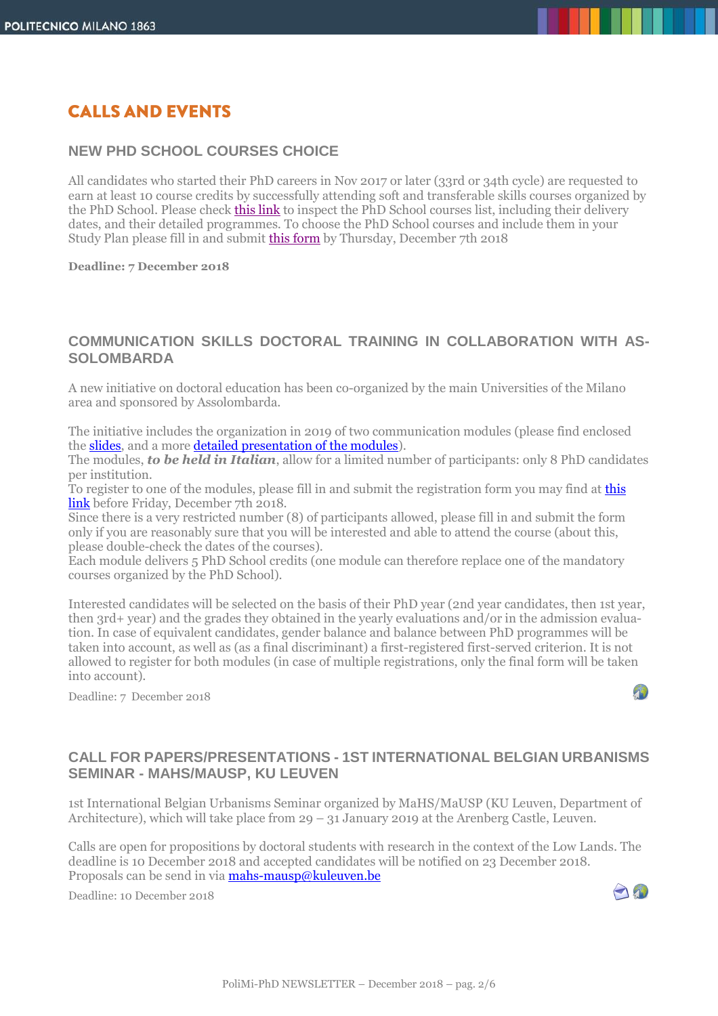# **CALLS AND EVENTS**

#### **NEW PHD SCHOOL COURSES CHOICE**

All candidates who started their PhD careers in Nov 2017 or later (33rd or 34th cycle) are requested to earn at least 10 course credits by successfully attending soft and transferable skills courses organized by the PhD School. Please check [this link](https://aunicalogin.polimi.it/aunicalogin/getservizio.xml?id_servizio=284&k_corso_la=1300&lang=EN) to inspect the PhD School courses list, including their delivery dates, and their detailed programmes. To choose the PhD School courses and include them in your Study Plan please fill in and submit [this form](https://goo.gl/forms/nmdgcsSsxM01KUCK2) by Thursday, December 7th 2018

**Deadline: 7 December 2018**

#### **COMMUNICATION SKILLS DOCTORAL TRAINING IN COLLABORATION WITH AS-SOLOMBARDA**

A new initiative on doctoral education has been co-organized by the main Universities of the Milano area and sponsored by Assolombarda.

The initiative includes the organization in 2019 of two communication modules (please find enclosed the [slides,](http://www.dottorato.polimi.it/fileadmin/files/dottorato/newsletter/allegati/2018-12/Presentazione_modulo_interateneo_2019.pptx) and a more [detailed presentation](http://www.dottorato.polimi.it/fileadmin/files/dottorato/newsletter/allegati/2018-12/Moduli_formativi_interateneo.docx) of the modules).

The modules, *to be held in Italian*, allow for a limited number of participants: only 8 PhD candidates per institution.

To register to one of the modules, please fill in and submit the registration form you may find at this [link](https://goo.gl/forms/bvy7Ai4PRETVDMup1) before Friday, December 7th 2018.

Since there is a very restricted number (8) of participants allowed, please fill in and submit the form only if you are reasonably sure that you will be interested and able to attend the course (about this, please double-check the dates of the courses).

Each module delivers 5 PhD School credits (one module can therefore replace one of the mandatory courses organized by the PhD School).

Interested candidates will be selected on the basis of their PhD year (2nd year candidates, then 1st year, then 3rd+ year) and the grades they obtained in the yearly evaluations and/or in the admission evaluation. In case of equivalent candidates, gender balance and balance between PhD programmes will be taken into account, as well as (as a final discriminant) a first-registered first-served criterion. It is not allowed to register for both modules (in case of multiple registrations, only the final form will be taken into account).

Deadline: 7 December 2018

## $\sqrt{1}$

### **CALL FOR PAPERS/PRESENTATIONS - 1ST INTERNATIONAL BELGIAN URBANISMS SEMINAR - MAHS/MAUSP, KU LEUVEN**

1st International Belgian Urbanisms Seminar organized by MaHS/MaUSP (KU Leuven, Department of Architecture), which will take place from 29 – 31 January 2019 at the Arenberg Castle, Leuven.

Calls are open for propositions by doctoral students with research in the context of the Low Lands. The deadline is 10 December 2018 and accepted candidates will be notified on 23 December 2018. Proposals can be send in via **mahs-mausp@kuleuven.be** 

Deadline: 10 December 2018

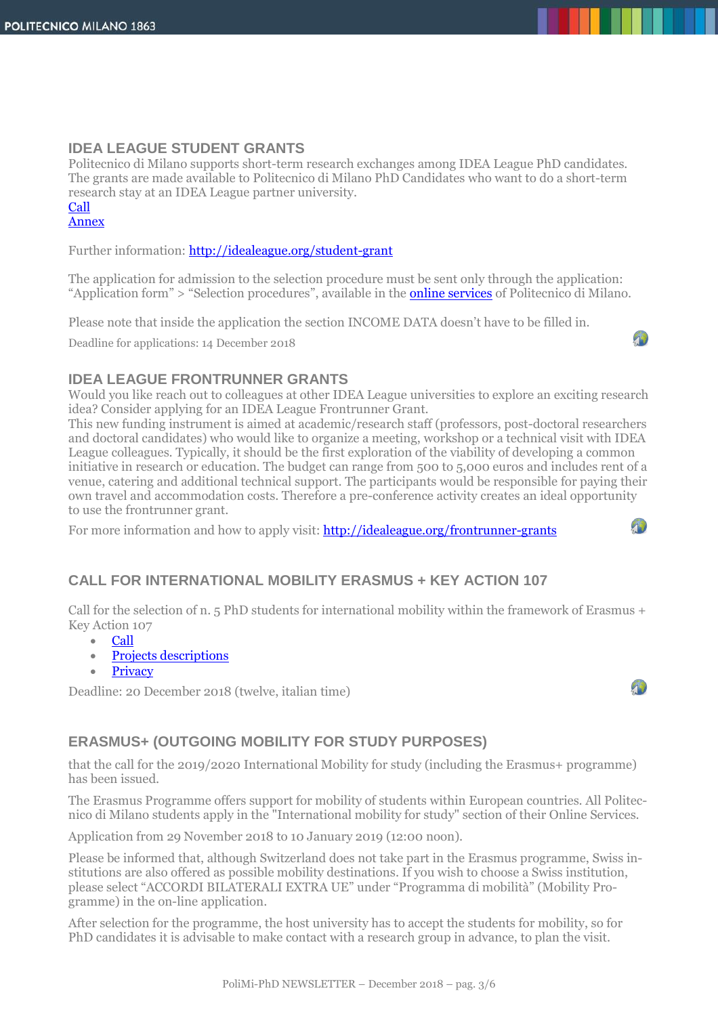#### **IDEA LEAGUE STUDENT GRANTS**

Politecnico di Milano supports short-term research exchanges among IDEA League PhD candidates. The grants are made available to Politecnico di Milano PhD Candidates who want to do a short-term research stay at an IDEA League partner university.

# [Call](http://www.dottorato.polimi.it/uploads/media/ENG_Bando_StudentsGrants_IDEA_2019.pdf)

### [Annex](http://www.dottorato.polimi.it/uploads/media/ANNEX-Bando__IDEA_2019_01.doc)

Further information:<http://idealeague.org/student-grant>

The application for admission to the selection procedure must be sent only through the application: "Application form" > "Selection procedures", available in the **[online services](https://www.polimi.it/en/online-services/)** of Politecnico di Milano.

Please note that inside the application the section INCOME DATA doesn't have to be filled in.

Deadline for applications: 14 December 2018



#### **IDEA LEAGUE FRONTRUNNER GRANTS**

Would you like reach out to colleagues at other IDEA League universities to explore an exciting research idea? Consider applying for an IDEA League Frontrunner Grant.

This new funding instrument is aimed at academic/research staff (professors, post-doctoral researchers and doctoral candidates) who would like to organize a meeting, workshop or a technical visit with IDEA League colleagues. Typically, it should be the first exploration of the viability of developing a common initiative in research or education. The budget can range from 500 to 5,000 euros and includes rent of a venue, catering and additional technical support. The participants would be responsible for paying their own travel and accommodation costs. Therefore a pre-conference activity creates an ideal opportunity to use the frontrunner grant.

For more information and how to apply visit: **http://idealeague.org/frontrunner-grants** 

## **CALL FOR INTERNATIONAL MOBILITY ERASMUS + KEY ACTION 107**

Call for the selection of n. 5 PhD students for international mobility within the framework of Erasmus + Key Action 107

- [Call](http://www.dottorato.polimi.it/fileadmin/files/dottorato/eventi/2018_12/KA107/Bando_PhD_KA107_Call_2018_ENG_protocollato.pdf)
- [Projects descriptions](http://www.dottorato.polimi.it/fileadmin/files/dottorato/eventi/2018_12/KA107/Annex_1_Projects_descriptions_ING.pdf)
- [Privacy](http://www.dottorato.polimi.it/fileadmin/files/dottorato/eventi/2018_12/KA107/ANNEX_2_Informativa_Privacy_DEF_ING.pdf)

Deadline: 20 December 2018 (twelve, italian time)

#### $\mathcal{P}$

 $\mathcal{F}_{\mathbf{b}}$ 

### **ERASMUS+ (OUTGOING MOBILITY FOR STUDY PURPOSES)**

that the call for the 2019/2020 International Mobility for study (including the Erasmus+ programme) has been issued.

The Erasmus Programme offers support for mobility of students within European countries. All Politecnico di Milano students apply in the "International mobility for study" section of their Online Services.

Application from 29 November 2018 to 10 January 2019 (12:00 noon).

Please be informed that, although Switzerland does not take part in the Erasmus programme, Swiss institutions are also offered as possible mobility destinations. If you wish to choose a Swiss institution, please select "ACCORDI BILATERALI EXTRA UE" under "Programma di mobilità" (Mobility Programme) in the on-line application.

After selection for the programme, the host university has to accept the students for mobility, so for PhD candidates it is advisable to make contact with a research group in advance, to plan the visit.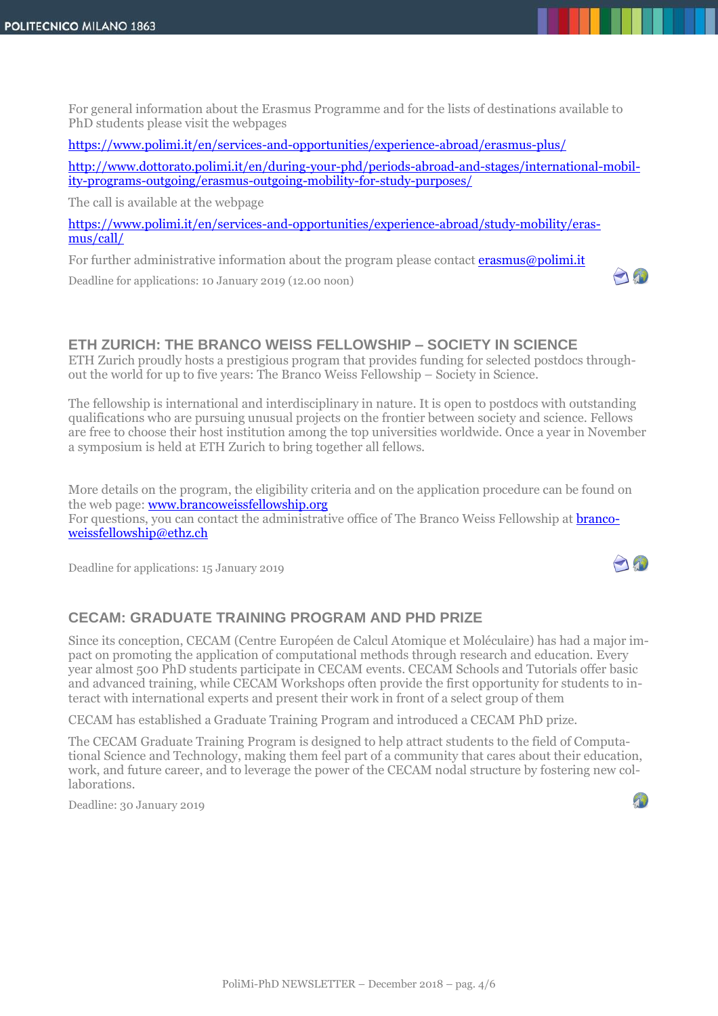For general information about the Erasmus Programme and for the lists of destinations available to PhD students please visit the webpages

<https://www.polimi.it/en/services-and-opportunities/experience-abroad/erasmus-plus/>

[http://www.dottorato.polimi.it/en/during-your-phd/periods-abroad-and-stages/international-mobil](http://www.dottorato.polimi.it/en/during-your-phd/periods-abroad-and-stages/international-mobility-programs-outgoing/erasmus-outgoing-mobility-for-study-purposes/)[ity-programs-outgoing/erasmus-outgoing-mobility-for-study-purposes/](http://www.dottorato.polimi.it/en/during-your-phd/periods-abroad-and-stages/international-mobility-programs-outgoing/erasmus-outgoing-mobility-for-study-purposes/) 

AN

 $\mathcal{L}$ 

The call is available at the webpage

[https://www.polimi.it/en/services-and-opportunities/experience-abroad/study-mobility/eras](https://www.polimi.it/en/services-and-opportunities/experience-abroad/study-mobility/erasmus/call/)[mus/call/](https://www.polimi.it/en/services-and-opportunities/experience-abroad/study-mobility/erasmus/call/) 

For further administrative information about the program please contact **erasmus@polimi.it** 

Deadline for applications: 10 January 2019 (12.00 noon)

#### **ETH ZURICH: THE BRANCO WEISS FELLOWSHIP – SOCIETY IN SCIENCE**

ETH Zurich proudly hosts a prestigious program that provides funding for selected postdocs throughout the world for up to five years: The Branco Weiss Fellowship – Society in Science.

The fellowship is international and interdisciplinary in nature. It is open to postdocs with outstanding qualifications who are pursuing unusual projects on the frontier between society and science. Fellows are free to choose their host institution among the top universities worldwide. Once a year in November a symposium is held at ETH Zurich to bring together all fellows.

More details on the program, the eligibility criteria and on the application procedure can be found on the web page: [www.brancoweissfellowship.org](http://www.brancoweissfellowship.org/) 

For questions, you can contact the administrative office of The Branco Weiss Fellowship at [branco](mailto:brancoweissfellowship@ethz.ch)[weissfellowship@ethz.ch](mailto:brancoweissfellowship@ethz.ch)

Deadline for applications: 15 January 2019

### **CECAM: GRADUATE TRAINING PROGRAM AND PHD PRIZE**

Since its conception, CECAM (Centre Européen de Calcul Atomique et Moléculaire) has had a major impact on promoting the application of computational methods through research and education. Every year almost 500 PhD students participate in CECAM events. CECAM Schools and Tutorials offer basic and advanced training, while CECAM Workshops often provide the first opportunity for students to interact with international experts and present their work in front of a select group of them

CECAM has established a Graduate Training Program and introduced a CECAM PhD prize.

The CECAM Graduate Training Program is designed to help attract students to the field of Computational Science and Technology, making them feel part of a community that cares about their education, work, and future career, and to leverage the power of the CECAM nodal structure by fostering new collaborations.

Deadline: 30 January 2019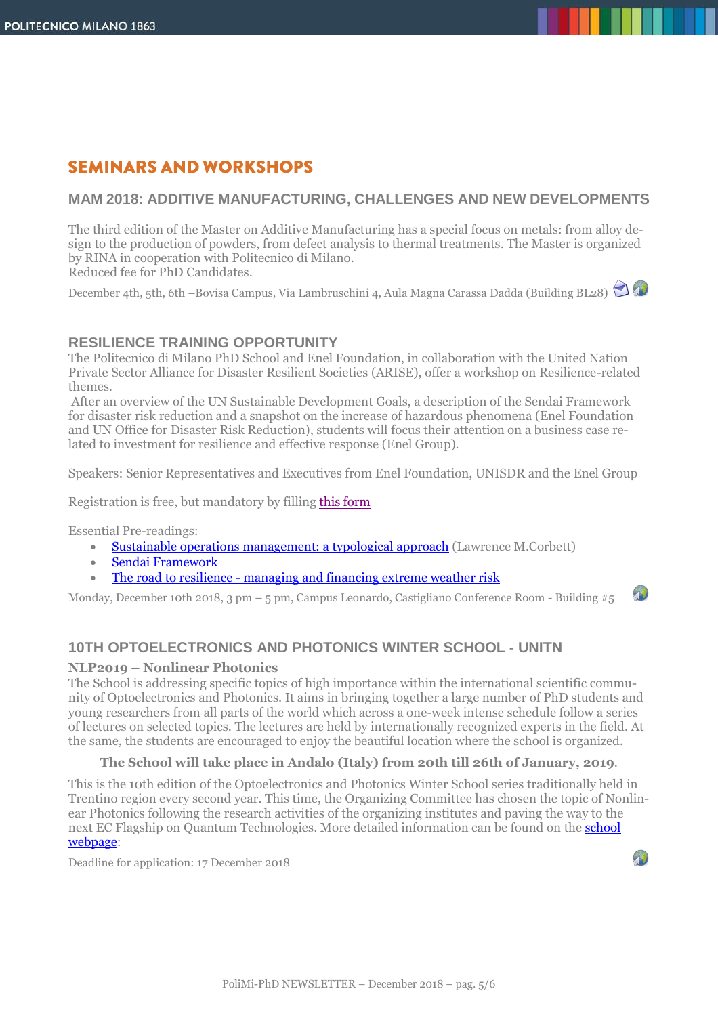# **SEMINARS AND WORKSHOPS**

#### **MAM 2018: ADDITIVE MANUFACTURING, CHALLENGES AND NEW DEVELOPMENTS**

The third edition of the Master on Additive Manufacturing has a special focus on metals: from alloy design to the production of powders, from defect analysis to thermal treatments. The Master is organized by RINA in cooperation with Politecnico di Milano. Reduced fee for PhD Candidates.

December 4th, 5th, 6th –Bovisa Campus, Via Lambruschini 4, Aula Magna Carassa Dadda (Building BL28)

#### **RESILIENCE TRAINING OPPORTUNITY**

The Politecnico di Milano PhD School and Enel Foundation, in collaboration with the United Nation Private Sector Alliance for Disaster Resilient Societies (ARISE), offer a workshop on Resilience-related themes.

After an overview of the UN Sustainable Development Goals, a description of the Sendai Framework for disaster risk reduction and a snapshot on the increase of hazardous phenomena (Enel Foundation and UN Office for Disaster Risk Reduction), students will focus their attention on a business case related to investment for resilience and effective response (Enel Group).

Speakers: Senior Representatives and Executives from Enel Foundation, UNISDR and the Enel Group

Registration is free, but mandatory by fillin[g this form](https://goo.gl/forms/RnehfciOaAvpeZt92)

Essential Pre-readings:

- [Sustainable operations management: a typological approach](http://upcommons.upc.edu/bitstream/handle/2099/8142/Corbett.pdf) (Lawrence M.Corbett)
- [Sendai Framework](http://www.preventionweb.net/files/43291_sendaiframeworkfordrren.pdf)
- The road to resilience [managing and financing extreme weather risk](https://www.worldenergy.org/publications/2015/the-road-to-resilience-managing-and-financing-extreme-weather-risk/)

Monday, December 10th 2018, 3 pm – 5 pm, Campus Leonardo, Castigliano Conference Room - Building #5

### **10TH OPTOELECTRONICS AND PHOTONICS WINTER SCHOOL - UNITN**

#### **NLP2019 – Nonlinear Photonics**

The School is addressing specific topics of high importance within the international scientific community of Optoelectronics and Photonics. It aims in bringing together a large number of PhD students and young researchers from all parts of the world which across a one-week intense schedule follow a series of lectures on selected topics. The lectures are held by internationally recognized experts in the field. At the same, the students are encouraged to enjoy the beautiful location where the school is organized.

#### **The School will take place in Andalo (Italy) from 20th till 26th of January, 2019**.

This is the 10th edition of the Optoelectronics and Photonics Winter School series traditionally held in Trentino region every second year. This time, the Organizing Committee has chosen the topic of Nonlinear Photonics following the research activities of the organizing institutes and paving the way to the next EC Flagship on Quantum Technologies. More detailed information can be found on the [school](https://event.unitn.it/nlp2019/) [webpage:](https://event.unitn.it/nlp2019/)

Deadline for application: 17 December 2018

 $+1$ 

 $\mathcal{L}$